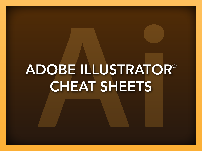# ADOBE ILLUSTRATOR® CHEAT SHEETS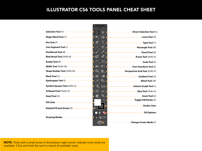#### ILLUSTRATOR CS6 TOOLS PANEL CHEAT SHEET

|                                                                 | 1111111111 |                         |                                                        |
|-----------------------------------------------------------------|------------|-------------------------|--------------------------------------------------------|
| Selection Tool (V) -----------------                            |            |                         |                                                        |
| Magic Wand Tool (Y) -----------------                           |            |                         |                                                        |
| Pen Tool (P)                                                    |            |                         | ---------------------------- Type Tool (T)             |
| Line Segment Tool (\) ----------------                          |            |                         | ---------------------- Rectangle Tool (M)              |
|                                                                 |            |                         |                                                        |
| Blob Brush Tool (Shift+B) ----------------                      |            |                         | 7------------------------ <b>Eraser Tool</b> (Shift+E) |
| Rotate Tool (R) -------------------------                       |            | 凹                       | 7----------------------------- Scale Tool (S)          |
| <b>Width Tool</b> (Shift+W) - - - - - - - - - - - - - - - - - - |            | Æ.                      | 7--------------------- Free Transform Tool (E)         |
| <b>Shape Builder Tool</b> (Shift+M) - - - - - - - - - - - - -   | ☜          | 世                       | <b>Z------------- Perspective Grid Tool</b> (Shift+P)  |
|                                                                 | 図          |                         | Gradient Tool (G)                                      |
|                                                                 | ⇗          | $\overline{\bullet}$    | 7------------------------------Blend Tool (W)          |
| Symbol Sprayer Tool (Shift+S) -------------                     | ۰ō.        | $\mathbf{m}_\mathbf{f}$ |                                                        |
| Artboard Tool (Shift+O) ---------------                         |            |                         |                                                        |
| Hand Tool (H) ---------------------------                       |            |                         |                                                        |
| Fill Color ---------------------------------                    |            |                         | 7--------------------- Toggle Fill/Stroke (X)          |
|                                                                 |            |                         | ------------------------ Stroke Color                  |
| Default Fill and Stroke (D) ------------                        | $\Box_1$   |                         | ---------------------------- Fill Options              |
| Drawing Modes --------------------                              |            | 76                      |                                                        |
|                                                                 |            |                         |                                                        |
|                                                                 |            |                         | ---------- Change Screen Mode (F)                      |

NOTE: Tools with a small arrow in the bottom right corner indicate more tools are available. Click and hold the tool to reveal all available tools.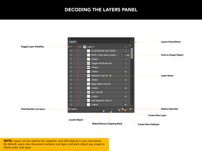#### DECODING THE LAYERS PANEL



NOTE: Layers can be used to list, organize, and edit objects in your document. By default, every new document contains one layer, and each object you create is listed under that lyaer.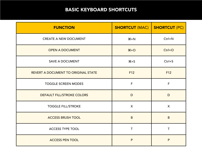## BASIC KEYBOARD SHORTCUTS

| <b>FUNCTION</b>                     | <b>SHORTCUT (MAC)</b> | <b>SHORTCUT (PC)</b> |
|-------------------------------------|-----------------------|----------------------|
| <b>CREATE A NEW DOCUMENT</b>        | $H + N$               | $Ctrl + N$           |
| <b>OPEN A DOCUMENT</b>              | $H + O$               | $Ctrl + O$           |
| <b>SAVE A DOCUMENT</b>              | $\frac{4+5}{5}$       | $Ctrl + S$           |
| REVERT A DOCUMENT TO ORIGINAL STATE | F12                   | F12                  |
| <b>TOGGLE SCREEN MODES</b>          | $\mathsf{F}$          | F                    |
| DEFAULT FILL/STROKE COLORS          | D                     | D                    |
| <b>TOGGLE FILL/STROKE</b>           | X                     | X                    |
| <b>ACCESS BRUSH TOOL</b>            | B                     | B                    |
| <b>ACCESS TYPE TOOL</b>             | т                     |                      |
| <b>ACCESS PEN TOOL</b>              | P                     | P                    |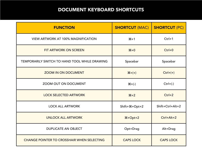## DOCUMENT KEYBOARD SHORTCUTS

| <b>FUNCTION</b>                                   | <b>SHORTCUT (MAC)</b>                                               | <b>SHORTCUT (PC)</b> |
|---------------------------------------------------|---------------------------------------------------------------------|----------------------|
| <b>VIEW ARTWORK AT 100% MAGNIFICATION</b>         | $#+1$                                                               | $Ctrl + 1$           |
| FIT ARTWORK ON SCREEN                             | $# + 0$                                                             | $Ctrl + 0$           |
| TEMPORARILY SWITCH TO HAND TOOL WHILE DRAWING     | Spacebar                                                            | Spacebar             |
| <b>ZOOM IN ON DOCUMENT</b>                        | $\mathcal{H} + (+)$                                                 | $Ctrl+(+)$           |
| ZOOM OUT ON DOCUMENT                              | $H + (-)$                                                           | $Ctrl+(-)$           |
| <b>LOCK SELECTED ARTWORK</b>                      | $#+2$                                                               | $Ctrl + 2$           |
| <b>LOCK ALL ARTWORK</b>                           | $Shift + \frac{1}{2} + Opt + 2$                                     | Shift+Ctrl+Alt+2     |
| <b>UNLOCK ALL ARTWORK</b>                         | $\frac{\mathcal{H} + \mathrm{Opt} + 2}{\mathcal{H} + \mathrm{Opt}}$ | $Ctrl+Alt+2$         |
| <b>DUPLICATE AN OBJECT</b>                        | Opt+Drag                                                            | Alt+Drag             |
| <b>CHANGE POINTER TO CROSSHAIR WHEN SELECTING</b> | <b>CAPS LOCK</b>                                                    | <b>CAPS LOCK</b>     |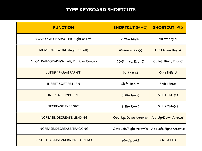## TYPE KEYBOARD SHORTCUTS

| <b>FUNCTION</b>                             | <b>SHORTCUT (MAC)</b>                            | <b>SHORTCUT (PC)</b>    |
|---------------------------------------------|--------------------------------------------------|-------------------------|
| MOVE ONE CHARACTER (Right or Left)          | Arrow Key(s)                                     | Arrow Key(s)            |
| <b>MOVE ONE WORD (Right or Left)</b>        | <b>H+Arrow Key(s)</b>                            | Ctrl+Arrow Key(s)       |
| ALIGN PARAGRAPH(S) (Left, Right, or Center) | <b><math>\mathcal{H}</math>+Shift+L, R, or C</b> | Ctrl+Shift+L, R, or C   |
| <b>JUSTIFY PARAGRAPH(S)</b>                 | <b>H+Shift+J</b>                                 | Ctrl+Shift+J            |
| <b>INSERT SOFT RETURN</b>                   | Shift+Return                                     | Shift+Enter             |
| <b>INCREASE TYPE SIZE</b>                   | $Shift + \mathcal{H} + \langle > \rangle$        | $Shift+Ctrl+ (>)$       |
| <b>DECREASE TYPE SIZE</b>                   | $Shift + \mathcal{H} + (<)$                      | $Shift+Ctrl+(<)$        |
| <b>INCREASE/DECREASE LEADING</b>            | Opt+Up/Down Arrow(s)                             | Alt+Up/Down Arrow(s)    |
| <b>INCREASE/DECREASE TRACKING</b>           | Opt+Left/Right Arrow(s)                          | Alt+Left/Right Arrow(s) |
| <b>RESET TRACKING/KERNING TO ZERO</b>       | <b>H+Opt+Q</b>                                   | $Ctrl+Alt+Q$            |